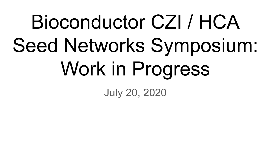# Bioconductor CZI / HCA Seed Networks Symposium: Work in Progress

July 20, 2020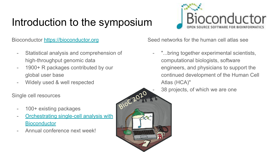## Introduction to the symposium

Bioconductor <https://bioconductor.org>

- Statistical analysis and comprehension of high-throughput genomic data
- 1900+ R packages contributed by our global user base
- Widely used & well respected

Single cell resources

- 100+ existing packages
- [Orchestrating single-cell analysis with](https://osca.bioconductor.org/) **[Bioconductor](https://osca.bioconductor.org/)**
- Annual conference next week!



Seed networks for the human cell atlas see

- "...bring together experimental scientists, computational biologists, software engineers, and physicians to support the continued development of the Human Cell Atlas (HCA)"
	- 38 projects, of which we are one

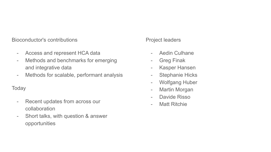Bioconductor's contributions

- Access and represent HCA data
- Methods and benchmarks for emerging and integrative data
- Methods for scalable, performant analysis

**Today** 

- Recent updates from across our collaboration
- Short talks, with question & answer opportunities

#### Project leaders

- Aedin Culhane
- Greg Finak
- Kasper Hansen
- Stephanie Hicks
- Wolfgang Huber
- Martin Morgan
- Davide Risso
- Matt Ritchie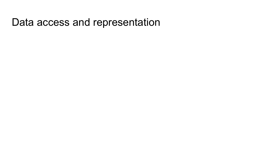#### Data access and representation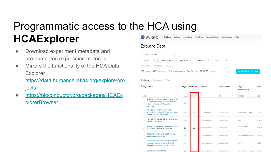#### Programmatic access to the HCA using **HCAExplorer** HUMAN CELL ATLAS

- Download experiment metadata and pre-computed expression matrices
- Mirrors the functionality of the HCA Data Explorer

[https://data.humancellatlas.org/explore/pro](https://data.humancellatlas.org/explore/projects) **[jects](https://data.humancellatlas.org/explore/projects)** 

● [https://bioconductor.org/packages/HCAEx](https://bioconductor.org/packages/HCAMatrixBrowser) [plorerBrowser](https://bioconductor.org/packages/HCAMatrixBrowser)

#### Explore Guides Metadata Pipelines Analysis Tools Contribute APIs **Explore Data**

| Search all filters |             |                                                                              |            |        |             |      |   |                             |
|--------------------|-------------|------------------------------------------------------------------------------|------------|--------|-------------|------|---|-----------------------------|
| Donor              | $\check{~}$ | Tissue Type v                                                                | Specimen v | Method | $\check{~}$ | File | v |                             |
|                    |             | Genus Species Homo sapiens Clear All                                         |            |        |             |      |   |                             |
|                    |             | 58 Donors 445 Specimens 2.7M Estimated Cells 264.3k Files 19.68 TB File Size |            |        |             |      |   | <b>Export Selected Data</b> |

#### Projects Samples Files

|      | ↑ Project Title                                                                                                              | <b>Project Downloads</b> |                          | <b>Species</b>   | <b>Sample Type</b> | Organ /<br><b>Model Organ</b> | Select |
|------|------------------------------------------------------------------------------------------------------------------------------|--------------------------|--------------------------|------------------|--------------------|-------------------------------|--------|
| (23) |                                                                                                                              | Metadata                 | Matrix                   | (1)              | (3)                | (17) / (6)                    | (32)   |
|      | A Single-Cell Transcriptomic Map of the<br>Human and Mouse Pancreas Reveals<br>Inter- and Intra-cell Population<br>Structure | گ                        | $\overline{\phantom{a}}$ | Homo sapiens, Mu | specimens          | pancreas                      | pancre |
|      | A single-cell reference map of<br>transcriptional states for human blood<br>and tissue T cell activation                     | ٹ                        | ٹ                        | Homo sapiens     | specimens          | blood, hematopoie             | Tcell  |
|      | A single-cell transcriptome atlas of the<br>adult human retina                                                               | گ                        | Æ,                       | Homo sapiens     | specimens.         | eye.                          | Unspe  |
|      | Assessing the relevance of organoids to<br>model inter-individual variation                                                  | 凸                        | گ                        | Homo sapiens     | organoids          | skin of body /<br>brain       | neural |
|      | Bone marrow plasma cells from hip<br>replacement surgeries                                                                   | ٹ                        | $\overline{\phantom{0}}$ | Homo sapiens     | specimens          | hematopoietic syst            | Plasm  |
| n    | Cell hashing with barcoded antibodies<br>enables multiplexing and doublet<br>detection for single cell genomics              | وطني                     | $\overline{\phantom{a}}$ | Homo sapiens     | specimens          | blood                         | periph |
|      | <b>Census of Immune Cells</b>                                                                                                | $\mathbf{r}$             |                          | Homo sapiens     | specimens          | blood, immune sys             | bone r |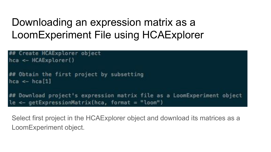### Downloading an expression matrix as a LoomExperiment File using HCAExplorer

```
Create HCAExplorer object
hca \leftarrow \text{HCAExplorer}()## Obtain the first project by subsetting
hca \leftarrow hca[1]Download project's expression matrix file as a LoomExperiment object
le < - getExpressionMatrix(hca, format = "loom")
```
Select first project in the HCAExplorer object and download its matrices as a LoomExperiment object.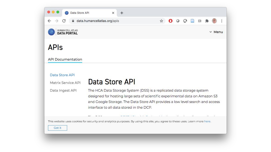|                                        | data.humancellatlas.org/apis                                                                                                 | ☆ |  |  |               |  |
|----------------------------------------|------------------------------------------------------------------------------------------------------------------------------|---|--|--|---------------|--|
| HUMAN CELL ATLAS<br><b>DATA PORTAL</b> |                                                                                                                              |   |  |  | $\times$ Menu |  |
|                                        |                                                                                                                              |   |  |  |               |  |
| <b>APIS</b>                            |                                                                                                                              |   |  |  |               |  |
| <b>API Documentation</b>               |                                                                                                                              |   |  |  |               |  |
| Data Store API                         |                                                                                                                              |   |  |  |               |  |
| Matrix Service API                     | Data Store API                                                                                                               |   |  |  |               |  |
|                                        | The HCA Data Storage System (DSS) is a replicated data storage system                                                        |   |  |  |               |  |
| Data Ingest API                        | designed for hosting large sets of scientific experimental data on Amazon S3                                                 |   |  |  |               |  |
|                                        |                                                                                                                              |   |  |  |               |  |
|                                        | and Google Storage. The Data Store API provides a low level search and access                                                |   |  |  |               |  |
|                                        | interface to all data stored in the DCP.                                                                                     |   |  |  |               |  |
|                                        | This website uses cookies for security and analytics purposes. By using this site, you agree to these uses. Learn more here. |   |  |  |               |  |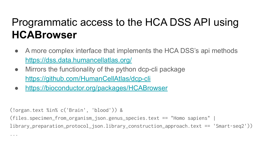### Programmatic access to the HCA DSS API using **HCABrowser**

- A more complex interface that implements the HCA DSS's api methods <https://dss.data.humancellatlas.org/>
- Mirrors the functionality of the python dcp-cli package <https://github.com/HumanCellAtlas/dcp-cli>
- [https://bioconductor.org/packages/HCABrowser](https://bioconductor.org/packages/HCAMatrixBrowser)

(!organ.text %in% c('Brain', 'blood')) &

(files.specimen\_from\_organism\_json.genus\_species.text == "Homo sapiens" |

library\_preparation\_protocol\_json.library\_construction\_approach.text == 'Smart-seq2'))

...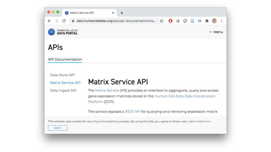|                                        | data.humancellatlas.org/apis/api-documentation/ma                                                                                                                             |  | ☆ |  |  |               |  |
|----------------------------------------|-------------------------------------------------------------------------------------------------------------------------------------------------------------------------------|--|---|--|--|---------------|--|
| HUMAN CELL ATLAS<br><b>DATA PORTAL</b> |                                                                                                                                                                               |  |   |  |  | $\times$ Menu |  |
| <b>APIS</b>                            |                                                                                                                                                                               |  |   |  |  |               |  |
| <b>API Documentation</b>               |                                                                                                                                                                               |  |   |  |  |               |  |
|                                        |                                                                                                                                                                               |  |   |  |  |               |  |
| Data Store API                         |                                                                                                                                                                               |  |   |  |  |               |  |
| Matrix Service API                     | <b>Matrix Service API</b>                                                                                                                                                     |  |   |  |  |               |  |
| Data Ingest API                        | The Matrix Service (MS) provides an interface to aggregrate, query and access<br>gene expression matrices stored in the Human Cell Atlas Data Coordination<br>Platform (DCP). |  |   |  |  |               |  |
|                                        | The service exposes a REST API for querying and retrieving expression matrix                                                                                                  |  |   |  |  |               |  |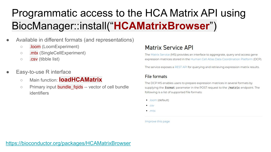## Programmatic access to the HCA Matrix API using BiocManager::install("**HCAMatrixBrowser**")

- Available in different formats (and representations)
	- .loom (LoomExperiment)
	- .mtx (SingleCellExperiment)
	- .csv (tibble list)
- Easy-to-use R interface
	- Main function: **loadHCAMatrix**
	- Primary input bundle fqids -- vector of cell bundle identifiers

#### **Matrix Service API**

The Matrix Service (MS) provides an interface to aggregrate, guery and access gene expression matrices stored in the Human Cell Atlas Data Coordination Platform (DCP).

The service exposes a REST API for querying and retrieving expression matrix results.

#### **File formats**

The DCP MS enables users to prepare expression matrices in several formats by supplying the format parameter in the POST request to the /matrix endpoint. The following is a list of supported file formats:

- · Joom (default)
- $\bullet$  .CSV
- $\bullet$  mtx

Improve this page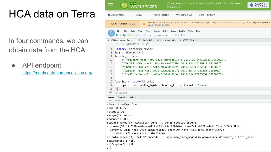### HCA data on Terra

In four commands, we can obtain data from the HCA

API endpoint:

<https://matrix.data.humancellatlas.org/>

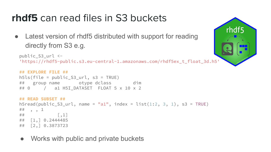#### **rhdf5** can read files in S3 buckets

• Latest version of rhdf5 distributed with support for reading directly from S3 e.g.

```
public_S3_url <- 
'https://rhdf5-public.s3.eu-central-1.amazonaws.com/rhdf5ex_t_float_3d.h5'
```

```
## EXPLORE FILE ##
h5ls(file = public_S3_url, s3 = TRUE)
## group name otype dclass dim
## 0 / a1 H5I_DATASET FLOAT 5 x 10 x 2
```

```
## READ SUBSET ##
h5read(public_S3_url, name = "a1", index = list(1:2, 3, 1), s3 = TRUE)
# #, , 1
## \begin{bmatrix} 1 \end{bmatrix}## [1,] 0.2444485
## [2,] 0.3873723
```
• Works with public and private buckets